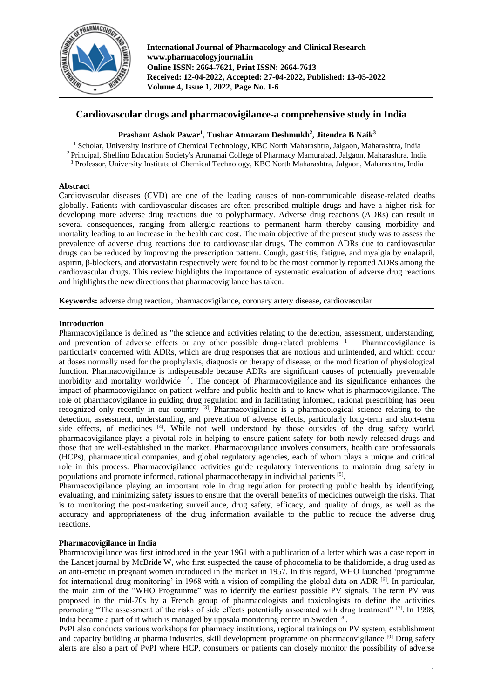

**International Journal of Pharmacology and Clinical Research www.pharmacologyjournal.in Online ISSN: 2664-7621, Print ISSN: 2664-7613 Received: 12-04-2022, Accepted: 27-04-2022, Published: 13-05-2022 Volume 4, Issue 1, 2022, Page No. 1-6**

# **Cardiovascular drugs and pharmacovigilance-a comprehensive study in India**

# **Prashant Ashok Pawar<sup>1</sup> , Tushar Atmaram Deshmukh<sup>2</sup> , Jitendra B Naik<sup>3</sup>**

<sup>1</sup> Scholar, University Institute of Chemical Technology, KBC North Maharashtra, Jalgaon, Maharashtra, India <sup>2</sup>Principal, Shellino Education Society's Arunamai College of Pharmacy Mamurabad, Jalgaon, Maharashtra, India <sup>3</sup> Professor, University Institute of Chemical Technology, KBC North Maharashtra, Jalgaon, Maharashtra, India

# **Abstract**

Cardiovascular diseases (CVD) are one of the leading causes of non-communicable disease-related deaths globally. Patients with cardiovascular diseases are often prescribed multiple drugs and have a higher risk for developing more adverse drug reactions due to polypharmacy. Adverse drug reactions (ADRs) can result in several consequences, ranging from allergic reactions to permanent harm thereby causing morbidity and mortality leading to an increase in the health care cost. The main objective of the present study was to assess the prevalence of adverse drug reactions due to cardiovascular drugs. The common ADRs due to cardiovascular drugs can be reduced by improving the prescription pattern. Cough, gastritis, fatigue, and myalgia by enalapril, aspirin, β-blockers, and atorvastatin respectively were found to be the most commonly reported ADRs among the cardiovascular drugs**.** This review highlights the importance of systematic evaluation of adverse drug reactions and highlights the new directions that pharmacovigilance has taken.

**Keywords:** adverse drug reaction, pharmacovigilance, coronary artery disease, cardiovascular

# **Introduction**

Pharmacovigilance is defined as "the science and activities relating to the detection, assessment, understanding, and prevention of adverse effects or any other possible drug-related problems [1] Pharmacovigilance is particularly concerned with ADRs, which are drug responses that are noxious and unintended, and which occur at doses normally used for the prophylaxis, diagnosis or therapy of disease, or the modification of physiological function. Pharmacovigilance is indispensable because ADRs are significant causes of potentially preventable morbidity and mortality worldwide  $[2]$ . The concept of Pharmacovigilance and its significance enhances the impact of pharmacovigilance on patient welfare and public health and to know what is pharmacovigilance. The role of pharmacovigilance in guiding drug regulation and in facilitating informed, rational prescribing has been recognized only recently in our country <sup>[3]</sup>. Pharmacovigilance is a pharmacological science relating to the detection, assessment, understanding, and prevention of adverse effects, particularly long-term and short-term side effects, of medicines [4]. While not well understood by those outsides of the drug safety world, pharmacovigilance plays a pivotal role in helping to ensure patient safety for both newly released drugs and those that are well-established in the market. Pharmacovigilance involves consumers, health care professionals (HCPs), pharmaceutical companies, and global regulatory agencies, each of whom plays a unique and critical role in this process. Pharmacovigilance activities guide regulatory interventions to maintain drug safety in populations and promote informed, rational pharmacotherapy in individual patients [5].

Pharmacovigilance playing an important role in drug regulation for protecting public health by identifying, evaluating, and minimizing safety issues to ensure that the overall benefits of medicines outweigh the risks. That is to monitoring the post-marketing surveillance, drug safety, efficacy, and quality of drugs, as well as the accuracy and appropriateness of the drug information available to the public to reduce the adverse drug reactions.

# **Pharmacovigilance in India**

Pharmacovigilance was first introduced in the year 1961 with a publication of a letter which was a case report in the Lancet journal by McBride W, who first suspected the cause of phocomelia to be thalidomide, a drug used as an anti-emetic in pregnant women introduced in the market in 1957. In this regard, WHO launched 'programme for international drug monitoring' in 1968 with a vision of compiling the global data on ADR  $[6]$ . In particular, the main aim of the "WHO Programme" was to identify the earliest possible PV signals. The term PV was proposed in the mid-70s by a French group of pharmacologists and toxicologists to define the activities promoting "The assessment of the risks of side effects potentially associated with drug treatment" [7]. In 1998, India became a part of it which is managed by uppsala monitoring centre in Sweden [8].

PvPI also conducts various workshops for pharmacy institutions, regional trainings on PV system, establishment and capacity building at pharma industries, skill development programme on pharmacovigilance [9] Drug safety alerts are also a part of PvPI where HCP, consumers or patients can closely monitor the possibility of adverse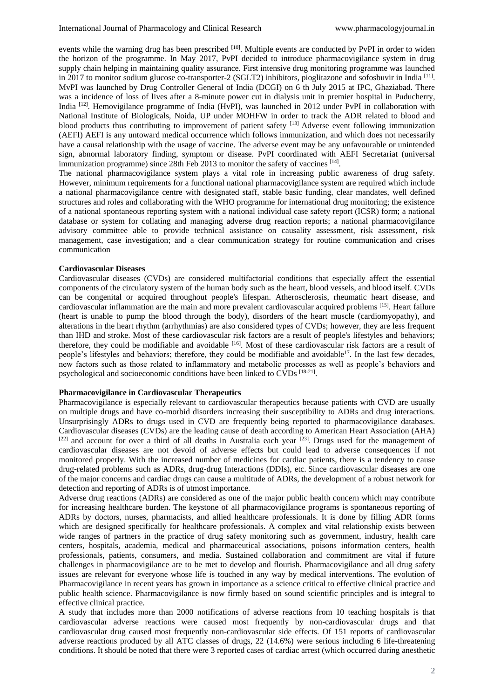events while the warning drug has been prescribed <sup>[10]</sup>. Multiple events are conducted by PvPI in order to widen the horizon of the programme. In May 2017, PvPI decided to introduce pharmacovigilance system in drug supply chain helping in maintaining quality assurance. First intensive drug monitoring programme was launched in 2017 to monitor sodium glucose co-transporter-2 (SGLT2) inhibitors, pioglitazone and sofosbuvir in India<sup>[11]</sup>. MvPI was launched by Drug Controller General of India (DCGI) on 6 th July 2015 at IPC, Ghaziabad. There was a incidence of loss of lives after a 8-minute power cut in dialysis unit in premier hospital in Puducherry, India <sup>[12]</sup>. Hemovigilance programme of India (HvPI), was launched in 2012 under PvPI in collaboration with National Institute of Biologicals, Noida, UP under MOHFW in order to track the ADR related to blood and blood products thus contributing to improvement of patient safety <sup>[13]</sup> Adverse event following immunization (AEFI) AEFI is any untoward medical occurrence which follows immunization, and which does not necessarily have a causal relationship with the usage of vaccine. The adverse event may be any unfavourable or unintended sign, abnormal laboratory finding, symptom or disease. PvPI coordinated with AEFI Secretariat (universal immunization programme) since 28th Feb 2013 to monitor the safety of vaccines [14].

The national pharmacovigilance system plays a vital role in increasing public awareness of drug safety. However, minimum requirements for a functional national pharmacovigilance system are required which include a national pharmacovigilance centre with designated staff, stable basic funding, clear mandates, well defined structures and roles and collaborating with the WHO programme for international drug monitoring; the existence of a national spontaneous reporting system with a national individual case safety report (ICSR) form; a national database or system for collating and managing adverse drug reaction reports; a national pharmacovigilance advisory committee able to provide technical assistance on causality assessment, risk assessment, risk management, case investigation; and a clear communication strategy for routine communication and crises communication

## **Cardiovascular Diseases**

Cardiovascular diseases (CVDs) are considered multifactorial conditions that especially affect the essential components of the circulatory system of the human body such as the heart, blood vessels, and blood itself. CVDs can be congenital or acquired throughout people's lifespan. Atherosclerosis, rheumatic heart disease, and cardiovascular inflammation are the main and more prevalent cardiovascular acquired problems [15]. Heart failure (heart is unable to pump the blood through the body), disorders of the heart muscle (cardiomyopathy), and alterations in the heart rhythm (arrhythmias) are also considered types of CVDs; however, they are less frequent than IHD and stroke. Most of these cardiovascular risk factors are a result of people's lifestyles and behaviors; therefore, they could be modifiable and avoidable <sup>[16]</sup>. Most of these cardiovascular risk factors are a result of people's lifestyles and behaviors; therefore, they could be modifiable and avoidable<sup>17</sup>. In the last few decades, new factors such as those related to inflammatory and metabolic processes as well as people's behaviors and psychological and socioeconomic conditions have been linked to CVDs [18-21].

# **Pharmacovigilance in Cardiovascular Therapeutics**

Pharmacovigilance is especially relevant to cardiovascular therapeutics because patients with CVD are usually on multiple drugs and have co-morbid disorders increasing their susceptibility to ADRs and drug interactions. Unsurprisingly ADRs to drugs used in CVD are frequently being reported to pharmacovigilance databases. Cardiovascular diseases (CVDs) are the leading cause of death according to American Heart Association (AHA)  $[22]$  and account for over a third of all deaths in Australia each year  $[23]$ . Drugs used for the management of cardiovascular diseases are not devoid of adverse effects but could lead to adverse consequences if not monitored properly. With the increased number of medicines for cardiac patients, there is a tendency to cause drug-related problems such as ADRs, drug-drug Interactions (DDIs), etc. Since cardiovascular diseases are one of the major concerns and cardiac drugs can cause a multitude of ADRs, the development of a robust network for detection and reporting of ADRs is of utmost importance.

Adverse drug reactions (ADRs) are considered as one of the major public health concern which may contribute for increasing healthcare burden. The keystone of all pharmacovigilance programs is spontaneous reporting of ADRs by doctors, nurses, pharmacists, and allied healthcare professionals. It is done by filling ADR forms which are designed specifically for healthcare professionals. A complex and vital relationship exists between wide ranges of partners in the practice of drug safety monitoring such as government, industry, health care centers, hospitals, academia, medical and pharmaceutical associations, poisons information centers, health professionals, patients, consumers, and media. Sustained collaboration and commitment are vital if future challenges in pharmacovigilance are to be met to develop and flourish. Pharmacovigilance and all drug safety issues are relevant for everyone whose life is touched in any way by medical interventions. The evolution of Pharmacovigilance in recent years has grown in importance as a science critical to effective clinical practice and public health science. Pharmacovigilance is now firmly based on sound scientific principles and is integral to effective clinical practice.

A study that includes more than 2000 notifications of adverse reactions from 10 teaching hospitals is that cardiovascular adverse reactions were caused most frequently by non-cardiovascular drugs and that cardiovascular drug caused most frequently non-cardiovascular side effects. Of 151 reports of cardiovascular adverse reactions produced by all ATC classes of drugs, 22 (14.6%) were serious including 6 life-threatening conditions. It should be noted that there were 3 reported cases of cardiac arrest (which occurred during anesthetic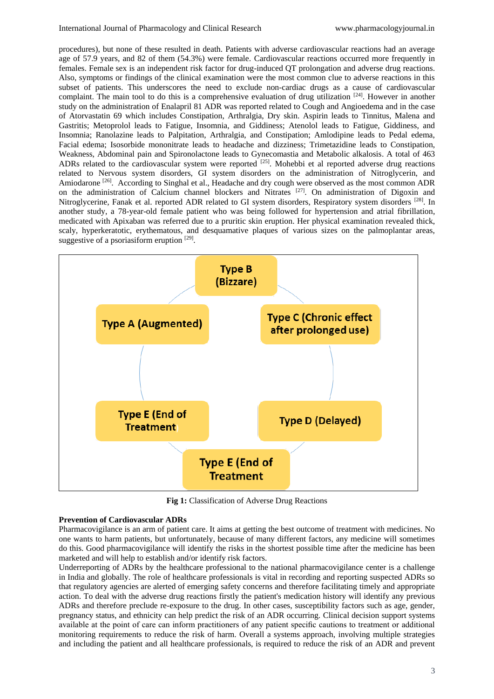procedures), but none of these resulted in death. Patients with adverse cardiovascular reactions had an average age of 57.9 years, and 82 of them (54.3%) were female. Cardiovascular reactions occurred more frequently in females. Female sex is an independent risk factor for drug-induced QT prolongation and adverse drug reactions. Also, symptoms or findings of the clinical examination were the most common clue to adverse reactions in this subset of patients. This underscores the need to exclude non-cardiac drugs as a cause of cardiovascular complaint. The main tool to do this is a comprehensive evaluation of drug utilization [24]. However in another study on the administration of Enalapril 81 ADR was reported related to Cough and Angioedema and in the case of Atorvastatin 69 which includes Constipation, Arthralgia, Dry skin. Aspirin leads to Tinnitus, Malena and Gastritis; Metoprolol leads to Fatigue, Insomnia, and Giddiness; Atenolol leads to Fatigue, Giddiness, and Insomnia; Ranolazine leads to Palpitation, Arthralgia, and Constipation; Amlodipine leads to Pedal edema, Facial edema; Isosorbide mononitrate leads to headache and dizziness; Trimetazidine leads to Constipation, Weakness, Abdominal pain and Spironolactone leads to Gynecomastia and Metabolic alkalosis. A total of 463 ADRs related to the cardiovascular system were reported <sup>[25]</sup>. Mohebbi et al reported adverse drug reactions related to Nervous system disorders, GI system disorders on the administration of Nitroglycerin, and Amiodarone<sup>[26]</sup>. According to Singhal et al., Headache and dry cough were observed as the most common ADR on the administration of Calcium channel blockers and Nitrates [27]. On administration of Digoxin and Nitroglycerine, Fanak et al. reported ADR related to GI system disorders, Respiratory system disorders <sup>[28]</sup>. In another study, a 78-year-old female patient who was being followed for hypertension and atrial fibrillation, medicated with Apixaban was referred due to a pruritic skin eruption. Her physical examination revealed thick, scaly, hyperkeratotic, erythematous, and desquamative plaques of various sizes on the palmoplantar areas, suggestive of a psoriasiform eruption [29].



**Fig 1:** Classification of Adverse Drug Reactions

## **Prevention of Cardiovascular ADRs**

Pharmacovigilance is an arm of patient care. It aims at getting the best outcome of treatment with medicines. No one wants to harm patients, but unfortunately, because of many different factors, any medicine will sometimes do this. Good pharmacovigilance will identify the risks in the shortest possible time after the medicine has been marketed and will help to establish and/or identify risk factors.

Underreporting of ADRs by the healthcare professional to the national pharmacovigilance center is a challenge in India and globally. The role of healthcare professionals is vital in recording and reporting suspected ADRs so that regulatory agencies are alerted of emerging safety concerns and therefore facilitating timely and appropriate action. To deal with the adverse drug reactions firstly the patient's medication history will identify any previous ADRs and therefore preclude re-exposure to the drug. In other cases, susceptibility factors such as age, gender, pregnancy status, and ethnicity can help predict the risk of an ADR occurring. Clinical decision support systems available at the point of care can inform practitioners of any patient specific cautions to treatment or additional monitoring requirements to reduce the risk of harm. Overall a systems approach, involving multiple strategies and including the patient and all healthcare professionals, is required to reduce the risk of an ADR and prevent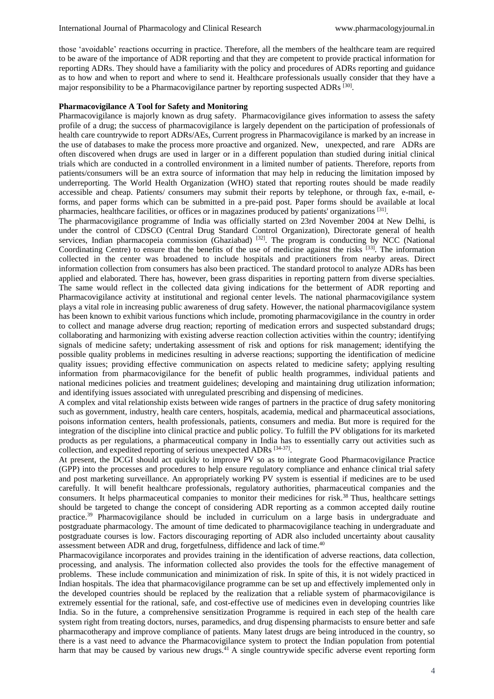those 'avoidable' reactions occurring in practice. Therefore, all the members of the healthcare team are required to be aware of the importance of ADR reporting and that they are competent to provide practical information for reporting ADRs. They should have a familiarity with the policy and procedures of ADRs reporting and guidance as to how and when to report and where to send it. Healthcare professionals usually consider that they have a major responsibility to be a Pharmacovigilance partner by reporting suspected ADRs [30].

#### **Pharmacovigilance A Tool for Safety and Monitoring**

Pharmacovigilance is majorly known as drug safety. Pharmacovigilance gives information to assess the safety profile of a drug; the success of pharmacovigilance is largely dependent on the participation of professionals of health care countrywide to report ADRs/AEs, Current progress in Pharmacovigilance is marked by an increase in the use of databases to make the process more proactive and organized. New, unexpected, and rare ADRs are often discovered when drugs are used in larger or in a different population than studied during initial clinical trials which are conducted in a controlled environment in a limited number of patients. Therefore, reports from patients/consumers will be an extra source of information that may help in reducing the limitation imposed by underreporting. The World Health Organization (WHO) stated that reporting routes should be made readily accessible and cheap. Patients/ consumers may submit their reports by telephone, or through fax, e-mail, eforms, and paper forms which can be submitted in a pre-paid post. Paper forms should be available at local pharmacies, healthcare facilities, or offices or in magazines produced by patients' organizations [31].

The pharmacovigilance programme of India was officially started on 23rd November 2004 at New Delhi, is under the control of CDSCO (Central Drug Standard Control Organization), Directorate general of health services, Indian pharmacopeia commission (Ghaziabad) <sup>[32]</sup>. The program is conducting by NCC (National Coordinating Centre) to ensure that the benefits of the use of medicine against the risks [33]. The information collected in the center was broadened to include hospitals and practitioners from nearby areas. Direct information collection from consumers has also been practiced. The standard protocol to analyze ADRs has been applied and elaborated. There has, however, been grass disparities in reporting pattern from diverse specialties. The same would reflect in the collected data giving indications for the betterment of ADR reporting and Pharmacovigilance activity at institutional and regional center levels. The national pharmacovigilance system plays a vital role in increasing public awareness of drug safety. However, the national pharmacovigilance system has been known to exhibit various functions which include, promoting pharmacovigilance in the country in order to collect and manage adverse drug reaction; reporting of medication errors and suspected substandard drugs; collaborating and harmonizing with existing adverse reaction collection activities within the country; identifying signals of medicine safety; undertaking assessment of risk and options for risk management; identifying the possible quality problems in medicines resulting in adverse reactions; supporting the identification of medicine quality issues; providing effective communication on aspects related to medicine safety; applying resulting information from pharmacovigilance for the benefit of public health programmes, individual patients and national medicines policies and treatment guidelines; developing and maintaining drug utilization information; and identifying issues associated with unregulated prescribing and dispensing of medicines.

A complex and vital relationship exists between wide ranges of partners in the practice of drug safety monitoring such as government, industry, health care centers, hospitals, academia, medical and pharmaceutical associations, poisons information centers, health professionals, patients, consumers and media. But more is required for the integration of the discipline into clinical practice and public policy. To fulfill the PV obligations for its marketed products as per regulations, a pharmaceutical company in India has to essentially carry out activities such as collection, and expedited reporting of serious unexpected ADRs [34-37].

At present, the DCGI should act quickly to improve PV so as to integrate Good Pharmacovigilance Practice (GPP) into the processes and procedures to help ensure regulatory compliance and enhance clinical trial safety and post marketing surveillance. An appropriately working PV system is essential if medicines are to be used carefully. It will benefit healthcare professionals, regulatory authorities, pharmaceutical companies and the consumers. It helps pharmaceutical companies to monitor their medicines for risk.<sup>38</sup> Thus, healthcare settings should be targeted to change the concept of considering ADR reporting as a common accepted daily routine practice.<sup>39</sup> Pharmacovigilance should be included in curriculum on a large basis in undergraduate and postgraduate pharmacology. The amount of time dedicated to pharmacovigilance teaching in undergraduate and postgraduate courses is low. Factors discouraging reporting of ADR also included uncertainty about causality assessment between ADR and drug, forgetfulness, diffidence and lack of time.<sup>40</sup>

Pharmacovigilance incorporates and provides training in the identification of adverse reactions, data collection, processing, and analysis. The information collected also provides the tools for the effective management of problems. These include communication and minimization of risk. In spite of this, it is not widely practiced in Indian hospitals. The idea that pharmacovigilance programme can be set up and effectively implemented only in the developed countries should be replaced by the realization that a reliable system of pharmacovigilance is extremely essential for the rational, safe, and cost-effective use of medicines even in developing countries like India. So in the future, a comprehensive sensitization Programme is required in each step of the health care system right from treating doctors, nurses, paramedics, and drug dispensing pharmacists to ensure better and safe pharmacotherapy and improve compliance of patients. Many latest drugs are being introduced in the country, so there is a vast need to advance the Pharmacovigilance system to protect the Indian population from potential harm that may be caused by various new drugs.<sup>41</sup> A single countrywide specific adverse event reporting form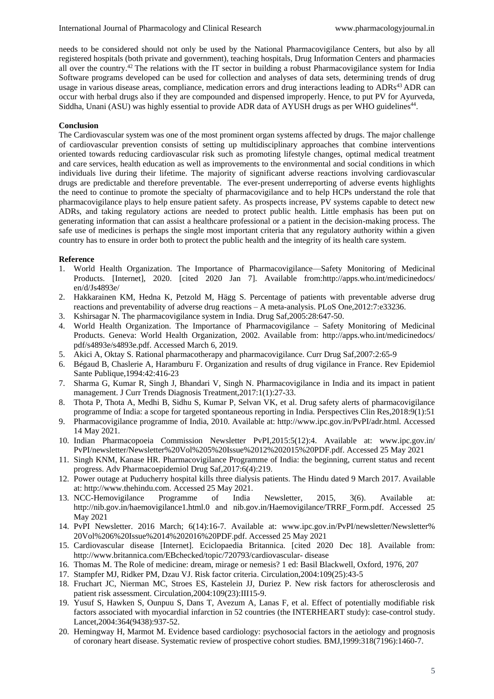needs to be considered should not only be used by the National Pharmacovigilance Centers, but also by all registered hospitals (both private and government), teaching hospitals, Drug Information Centers and pharmacies all over the country.<sup>42</sup> The relations with the IT sector in building a robust Pharmacovigilance system for India Software programs developed can be used for collection and analyses of data sets, determining trends of drug usage in various disease areas, compliance, medication errors and drug interactions leading to ADRs<sup>43</sup> ADR can occur with herbal drugs also if they are compounded and dispensed improperly. Hence, to put PV for Ayurveda, Siddha, Unani (ASU) was highly essential to provide ADR data of AYUSH drugs as per WHO guidelines<sup>44</sup>.

## **Conclusion**

The Cardiovascular system was one of the most prominent organ systems affected by drugs. The major challenge of cardiovascular prevention consists of setting up multidisciplinary approaches that combine interventions oriented towards reducing cardiovascular risk such as promoting lifestyle changes, optimal medical treatment and care services, health education as well as improvements to the environmental and social conditions in which individuals live during their lifetime. The majority of significant adverse reactions involving cardiovascular drugs are predictable and therefore preventable. The ever-present underreporting of adverse events highlights the need to continue to promote the specialty of pharmacovigilance and to help HCPs understand the role that pharmacovigilance plays to help ensure patient safety. As prospects increase, PV systems capable to detect new ADRs, and taking regulatory actions are needed to protect public health. Little emphasis has been put on generating information that can assist a healthcare professional or a patient in the decision-making process. The safe use of medicines is perhaps the single most important criteria that any regulatory authority within a given country has to ensure in order both to protect the public health and the integrity of its health care system.

## **Reference**

- 1. World Health Organization. The Importance of Pharmacovigilance—Safety Monitoring of Medicinal Products. [Internet], 2020. [cited 2020 Jan 7]. Available from:http://apps.who.int/medicinedocs/ en/d/Js4893e/
- 2. Hakkarainen KM, Hedna K, Petzold M, Hägg S. Percentage of patients with preventable adverse drug reactions and preventability of adverse drug reactions – A meta-analysis. PLoS One,2012:7:e33236.
- 3. Kshirsagar N. The pharmacovigilance system in India. Drug Saf,2005:28:647-50.
- 4. World Health Organization. The Importance of Pharmacovigilance Safety Monitoring of Medicinal Products. Geneva: World Health Organization, 2002. Available from: http://apps.who.int/medicinedocs/ pdf/s4893e/s4893e.pdf. Accessed March 6, 2019.
- 5. Akici A, Oktay S. Rational pharmacotherapy and pharmacovigilance. Curr Drug Saf,2007:2:65-9
- 6. Bégaud B, Chaslerie A, Haramburu F. Organization and results of drug vigilance in France. Rev Epidemiol Sante Publique,1994:42:416-23
- 7. Sharma G, Kumar R, Singh J, Bhandari V, Singh N. Pharmacovigilance in India and its impact in patient management. J Curr Trends Diagnosis Treatment,2017:1(1):27-33.
- 8. Thota P, Thota A, Medhi B, Sidhu S, Kumar P, Selvan VK, et al. Drug safety alerts of pharmacovigilance programme of India: a scope for targeted spontaneous reporting in India. Perspectives Clin Res,2018:9(1):51
- 9. Pharmacovigilance programme of India, 2010. Available at: http://www.ipc.gov.in/PvPI/adr.html. Accessed 14 May 2021.
- 10. Indian Pharmacopoeia Commission Newsletter PvPI,2015:5(12):4. Available at: www.ipc.gov.in/ PvPI/newsletter/Newsletter%20Vol%205%20Issue%2012%202015%20PDF.pdf. Accessed 25 May 2021
- 11. Singh KNM, Kanase HR. Pharmacovigilance Programme of India: the beginning, current status and recent progress. Adv Pharmacoepidemiol Drug Saf,2017:6(4):219.
- 12. Power outage at Puducherry hospital kills three dialysis patients. The Hindu dated 9 March 2017. Available at: http://www.thehindu.com. Accessed 25 May 2021.
- 13. NCC-Hemovigilance Programme of India Newsletter, 2015, 3(6). Available at: http://nib.gov.in/haemovigilance1.html.0 and nib.gov.in/Haemovigilance/TRRF\_Form.pdf. Accessed 25 May 2021
- 14. PvPI Newsletter. 2016 March; 6(14):16-7. Available at: www.ipc.gov.in/PvPI/newsletter/Newsletter% 20Vol%206%20Issue%2014%202016%20PDF.pdf. Accessed 25 May 2021
- 15. Cardiovascular disease [Internet]. Eciclopaedia Britannica. [cited 2020 Dec 18]. Available from: http://www.britannica.com/EBchecked/topic/720793/cardiovascular- disease
- 16. Thomas M. The Role of medicine: dream, mirage or nemesis? 1 ed: Basil Blackwell, Oxford, 1976, 207
- 17. Stampfer MJ, Ridker PM, Dzau VJ. Risk factor criteria. Circulation,2004:109(25):43-5
- 18. Fruchart JC, Nierman MC, Stroes ES, Kastelein JJ, Duriez P. New risk factors for atherosclerosis and patient risk assessment. Circulation,2004:109(23):III15-9.
- 19. Yusuf S, Hawken S, Ounpuu S, Dans T, Avezum A, Lanas F, et al. Effect of potentially modifiable risk factors associated with myocardial infarction in 52 countries (the INTERHEART study): case-control study. Lancet,2004:364(9438):937-52.
- 20. Hemingway H, Marmot M. Evidence based cardiology: psychosocial factors in the aetiology and prognosis of coronary heart disease. Systematic review of prospective cohort studies. BMJ,1999:318(7196):1460-7.